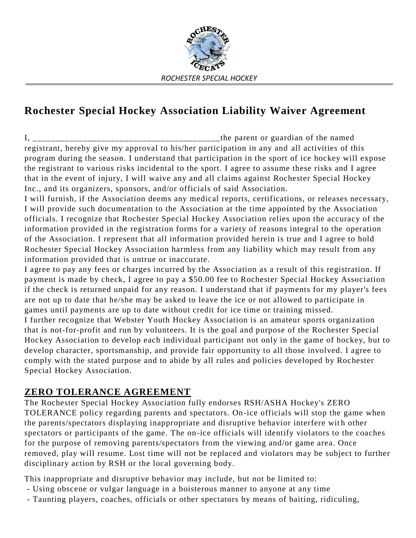

## **Rochester Special Hockey Association Liability Waiver Agreement**

I, \_\_\_\_\_\_\_\_\_\_\_\_\_\_\_\_\_\_\_\_\_\_\_\_\_\_\_\_\_\_\_\_\_\_\_\_\_\_\_\_\_the parent or guardian of the named registrant, hereby give my approval to his/her participation in any and all activities of this program during the season. I understand that participation in the sport of ice hockey will expose the registrant to various risks incidental to the sport. I agree to assume these risks and I agree that in the event of injury, I will waive any and all claims against Rochester Special Hockey Inc., and its organizers, sponsors, and/or officials of said Association.

I will furnish, if the Association deems any medical reports, certifications, or releases necessary, I will provide such documentation to the Association at the time appointed by the Association officials. I recognize that Rochester Special Hockey Association relies upon the accuracy of the information provided in the registration forms for a variety of reasons integral to the operation of the Association. I represent that all information provided herein is true and I agree to hold Rochester Special Hockey Association harmless from any liability which may result from any information provided that is untrue or inaccurate.

I agree to pay any fees or charges incurred by the Association as a result of this registration. If payment is made by check, I agree to pay a \$50.00 fee to Rochester Special Hockey Association if the check is returned unpaid for any reason. I understand that if payments for my player's fees are not up to date that he/she may be asked to leave the ice or not allowed to participate in games until payments are up to date without credit for ice time or training missed. I further recognize that Webster Youth Hockey Association is an amateur sports organization that is not-for-profit and run by volunteers. It is the goal and purpose of the Rochester Special

Hockey Association to develop each individual participant not only in the game of hockey, but to develop character, sportsmanship, and provide fair opportunity to all those involved. I agree to comply with the stated purpose and to abide by all rules and policies developed by Rochester Special Hockey Association.

## **ZERO TOLERANCE AGREEMENT**

The Rochester Special Hockey Association fully endorses RSH/ASHA Hockey's ZERO TOLERANCE policy regarding parents and spectators. On-ice officials will stop the game when the parents/spectators displaying inappropriate and disruptive behavior interfere with other spectators or participants of the game. The on-ice officials will identify violators to the coaches for the purpose of removing parents/spectators from the viewing and/or game area. Once removed, play will resume. Lost time will not be replaced and violators may be subject to further disciplinary action by RSH or the local governing body.

This inappropriate and disruptive behavior may include, but not be limited to:

- Using obscene or vulgar language in a boisterous manner to anyone at any time
- Taunting players, coaches, officials or other spectators by means of baiting, ridiculing,